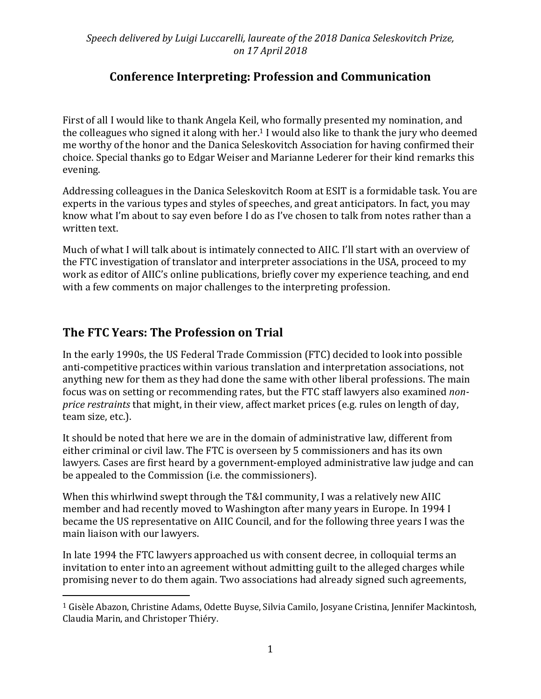*Speech delivered by Luigi Luccarelli, laureate of the 2018 Danica Seleskovitch Prize, on 17 April 2018*

## **Conference Interpreting: Profession and Communication**

First of all I would like to thank Angela Keil, who formally presented my nomination, and the colleagues who signed it along with her. <sup>1</sup> I would also like to thank the jury who deemed me worthy of the honor and the Danica Seleskovitch Association for having confirmed their choice. Special thanks go to Edgar Weiser and Marianne Lederer for their kind remarks this evening.

Addressing colleagues in the Danica Seleskovitch Room at ESIT is a formidable task. You are experts in the various types and styles of speeches, and great anticipators. In fact, you may know what I'm about to say even before I do as I've chosen to talk from notes rather than a written text.

Much of what I will talk about is intimately connected to AIIC. I'll start with an overview of the FTC investigation of translator and interpreter associations in the USA, proceed to my work as editor of AIIC's online publications, briefly cover my experience teaching, and end with a few comments on major challenges to the interpreting profession.

## **The FTC Years: The Profession on Trial**

 $\overline{a}$ 

In the early 1990s, the US Federal Trade Commission (FTC) decided to look into possible anti-competitive practices within various translation and interpretation associations, not anything new for them as they had done the same with other liberal professions. The main focus was on setting or recommending rates, but the FTC staff lawyers also examined *nonprice restraints* that might, in their view, affect market prices (e.g. rules on length of day, team size, etc.).

It should be noted that here we are in the domain of administrative law, different from either criminal or civil law. The FTC is overseen by 5 commissioners and has its own lawyers. Cases are first heard by a government-employed administrative law judge and can be appealed to the Commission (i.e. the commissioners).

When this whirlwind swept through the T&I community, I was a relatively new AIIC member and had recently moved to Washington after many years in Europe. In 1994 I became the US representative on AIIC Council, and for the following three years I was the main liaison with our lawyers.

In late 1994 the FTC lawyers approached us with consent decree, in colloquial terms an invitation to enter into an agreement without admitting guilt to the alleged charges while promising never to do them again. Two associations had already signed such agreements,

<sup>1</sup> Gisèle Abazon, Christine Adams, Odette Buyse, Silvia Camilo, Josyane Cristina, Jennifer Mackintosh, Claudia Marin, and Christoper Thiéry.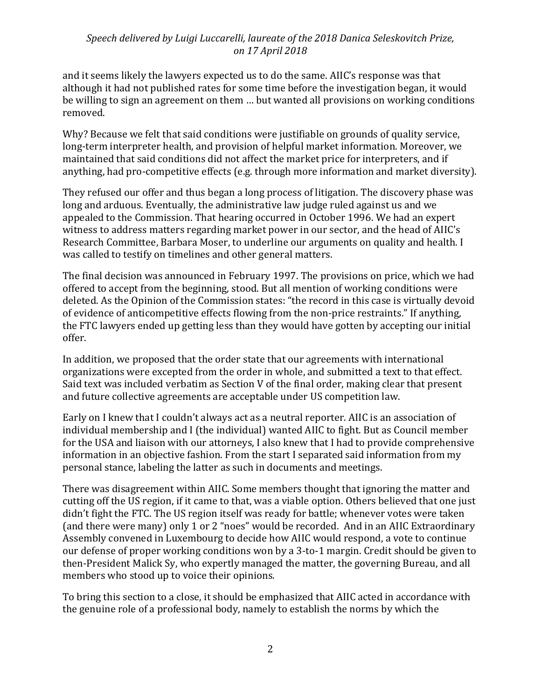### *Speech delivered by Luigi Luccarelli, laureate of the 2018 Danica Seleskovitch Prize, on 17 April 2018*

and it seems likely the lawyers expected us to do the same. AIIC's response was that although it had not published rates for some time before the investigation began, it would be willing to sign an agreement on them … but wanted all provisions on working conditions removed.

Why? Because we felt that said conditions were justifiable on grounds of quality service, long-term interpreter health, and provision of helpful market information. Moreover, we maintained that said conditions did not affect the market price for interpreters, and if anything, had pro-competitive effects (e.g. through more information and market diversity).

They refused our offer and thus began a long process of litigation. The discovery phase was long and arduous. Eventually, the administrative law judge ruled against us and we appealed to the Commission. That hearing occurred in October 1996. We had an expert witness to address matters regarding market power in our sector, and the head of AIIC's Research Committee, Barbara Moser, to underline our arguments on quality and health. I was called to testify on timelines and other general matters.

The final decision was announced in February 1997. The provisions on price, which we had offered to accept from the beginning, stood. But all mention of working conditions were deleted. As the Opinion of the Commission states: "the record in this case is virtually devoid of evidence of anticompetitive effects flowing from the non-price restraints." If anything, the FTC lawyers ended up getting less than they would have gotten by accepting our initial offer.

In addition, we proposed that the order state that our agreements with international organizations were excepted from the order in whole, and submitted a text to that effect. Said text was included verbatim as Section V of the final order, making clear that present and future collective agreements are acceptable under US competition law.

Early on I knew that I couldn't always act as a neutral reporter. AIIC is an association of individual membership and I (the individual) wanted AIIC to fight. But as Council member for the USA and liaison with our attorneys, I also knew that I had to provide comprehensive information in an objective fashion. From the start I separated said information from my personal stance, labeling the latter as such in documents and meetings.

There was disagreement within AIIC. Some members thought that ignoring the matter and cutting off the US region, if it came to that, was a viable option. Others believed that one just didn't fight the FTC. The US region itself was ready for battle; whenever votes were taken (and there were many) only 1 or 2 "noes" would be recorded. And in an AIIC Extraordinary Assembly convened in Luxembourg to decide how AIIC would respond, a vote to continue our defense of proper working conditions won by a 3-to-1 margin. Credit should be given to then-President Malick Sy, who expertly managed the matter, the governing Bureau, and all members who stood up to voice their opinions.

To bring this section to a close, it should be emphasized that AIIC acted in accordance with the genuine role of a professional body, namely to establish the norms by which the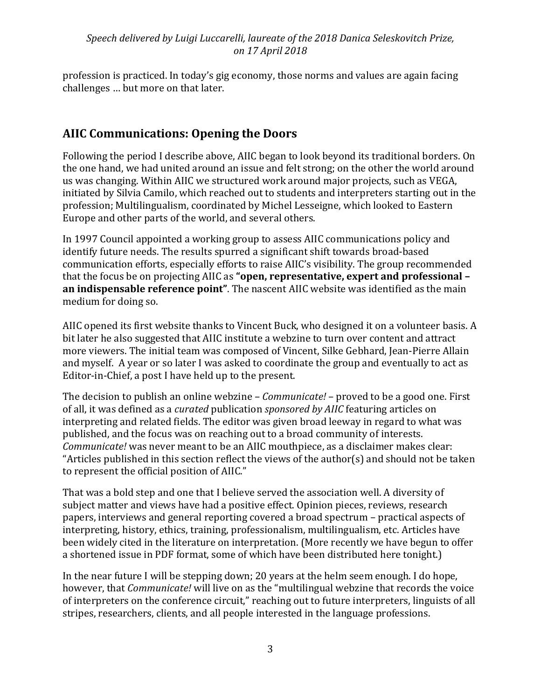### *Speech delivered by Luigi Luccarelli, laureate of the 2018 Danica Seleskovitch Prize, on 17 April 2018*

profession is practiced. In today's gig economy, those norms and values are again facing challenges … but more on that later.

## **AIIC Communications: Opening the Doors**

Following the period I describe above, AIIC began to look beyond its traditional borders. On the one hand, we had united around an issue and felt strong; on the other the world around us was changing. Within AIIC we structured work around major projects, such as VEGA, initiated by Silvia Camilo, which reached out to students and interpreters starting out in the profession; Multilingualism, coordinated by Michel Lesseigne, which looked to Eastern Europe and other parts of the world, and several others.

In 1997 Council appointed a working group to assess AIIC communications policy and identify future needs. The results spurred a significant shift towards broad-based communication efforts, especially efforts to raise AIIC's visibility. The group recommended that the focus be on projecting AIIC as **"open, representative, expert and professional – an indispensable reference point"**. The nascent AIIC website was identified as the main medium for doing so.

AIIC opened its first website thanks to Vincent Buck, who designed it on a volunteer basis. A bit later he also suggested that AIIC institute a webzine to turn over content and attract more viewers. The initial team was composed of Vincent, Silke Gebhard, Jean-Pierre Allain and myself. A year or so later I was asked to coordinate the group and eventually to act as Editor-in-Chief, a post I have held up to the present.

The decision to publish an online webzine – *Communicate!* – proved to be a good one. First of all, it was defined as a *curated* publication *sponsored by AIIC* featuring articles on interpreting and related fields. The editor was given broad leeway in regard to what was published, and the focus was on reaching out to a broad community of interests. *Communicate!* was never meant to be an AIIC mouthpiece, as a disclaimer makes clear: "Articles published in this section reflect the views of the author(s) and should not be taken to represent the official position of AIIC."

That was a bold step and one that I believe served the association well. A diversity of subject matter and views have had a positive effect. Opinion pieces, reviews, research papers, interviews and general reporting covered a broad spectrum – practical aspects of interpreting, history, ethics, training, professionalism, multilingualism, etc. Articles have been widely cited in the literature on interpretation. (More recently we have begun to offer a shortened issue in PDF format, some of which have been distributed here tonight.)

In the near future I will be stepping down; 20 years at the helm seem enough. I do hope, however, that *Communicate!* will live on as the "multilingual webzine that records the voice of interpreters on the conference circuit," reaching out to future interpreters, linguists of all stripes, researchers, clients, and all people interested in the language professions.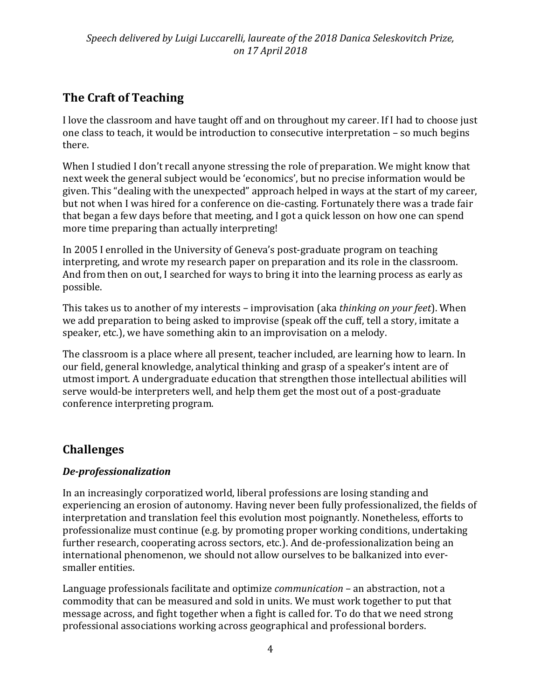# **The Craft of Teaching**

I love the classroom and have taught off and on throughout my career. If I had to choose just one class to teach, it would be introduction to consecutive interpretation – so much begins there.

When I studied I don't recall anyone stressing the role of preparation. We might know that next week the general subject would be 'economics', but no precise information would be given. This "dealing with the unexpected" approach helped in ways at the start of my career, but not when I was hired for a conference on die-casting. Fortunately there was a trade fair that began a few days before that meeting, and I got a quick lesson on how one can spend more time preparing than actually interpreting!

In 2005 I enrolled in the University of Geneva's post-graduate program on teaching interpreting, and wrote my research paper on preparation and its role in the classroom. And from then on out, I searched for ways to bring it into the learning process as early as possible.

This takes us to another of my interests – improvisation (aka *thinking on your feet*). When we add preparation to being asked to improvise (speak off the cuff, tell a story, imitate a speaker, etc.), we have something akin to an improvisation on a melody.

The classroom is a place where all present, teacher included, are learning how to learn. In our field, general knowledge, analytical thinking and grasp of a speaker's intent are of utmost import. A undergraduate education that strengthen those intellectual abilities will serve would-be interpreters well, and help them get the most out of a post-graduate conference interpreting program.

# **Challenges**

### *De-professionalization*

In an increasingly corporatized world, liberal professions are losing standing and experiencing an erosion of autonomy. Having never been fully professionalized, the fields of interpretation and translation feel this evolution most poignantly. Nonetheless, efforts to professionalize must continue (e.g. by promoting proper working conditions, undertaking further research, cooperating across sectors, etc.). And de-professionalization being an international phenomenon, we should not allow ourselves to be balkanized into eversmaller entities.

Language professionals facilitate and optimize *communication* – an abstraction, not a commodity that can be measured and sold in units. We must work together to put that message across, and fight together when a fight is called for. To do that we need strong professional associations working across geographical and professional borders.